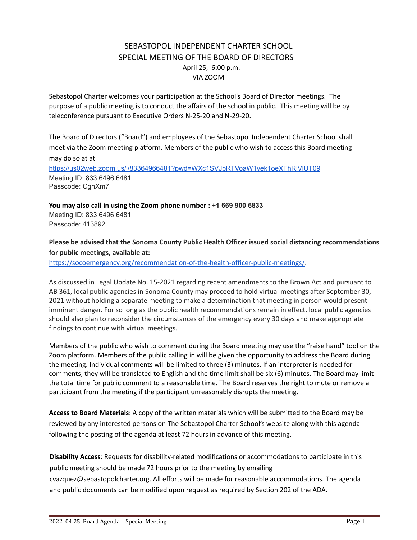# SEBASTOPOL INDEPENDENT CHARTER SCHOOL SPECIAL MEETING OF THE BOARD OF DIRECTORS April 25, 6:00 p.m. VIA ZOOM

Sebastopol Charter welcomes your participation at the School's Board of Director meetings. The purpose of a public meeting is to conduct the affairs of the school in public. This meeting will be by teleconference pursuant to Executive Orders N‐25‐20 and N‐29‐20.

The Board of Directors ("Board") and employees of the Sebastopol Independent Charter School shall meet via the Zoom meeting platform. Members of the public who wish to access this Board meeting may do so at at <https://us02web.zoom.us/j/83364966481?pwd=WXc1SVJpRTVoaW1vek1oeXFhRlVlUT09> Meeting ID: 833 6496 6481 Passcode: CgnXm7

**You may also call in using the Zoom phone number : +1 669 900 6833** Meeting ID: 833 6496 6481 Passcode: 413892

## **Please be advised that the Sonoma County Public Health Officer issued social distancing recommendations for public meetings, available at:**

[https://socoemergency.org/recommendation-of-the-health-officer-public-meetings/.](https://socoemergency.org/recommendation-of-the-health-officer-public-meetings/)

As discussed in Legal Update No. 15-2021 regarding recent amendments to the Brown Act and pursuant to AB 361, local public agencies in Sonoma County may proceed to hold virtual meetings after September 30, 2021 without holding a separate meeting to make a determination that meeting in person would present imminent danger. For so long as the public health recommendations remain in effect, local public agencies should also plan to reconsider the circumstances of the emergency every 30 days and make appropriate findings to continue with virtual meetings.

Members of the public who wish to comment during the Board meeting may use the "raise hand" tool on the Zoom platform. Members of the public calling in will be given the opportunity to address the Board during the meeting. Individual comments will be limited to three (3) minutes. If an interpreter is needed for comments, they will be translated to English and the time limit shall be six (6) minutes. The Board may limit the total time for public comment to a reasonable time. The Board reserves the right to mute or remove a participant from the meeting if the participant unreasonably disrupts the meeting.

**Access to Board Materials**: A copy of the written materials which will be submitted to the Board may be reviewed by any interested persons on The Sebastopol Charter School's website along with this agenda following the posting of the agenda at least 72 hours in advance of this meeting.

**Disability Access**: Requests for disability‐related modifications or accommodations to participate in this public meeting should be made 72 hours prior to the meeting by emailing

cvazquez@sebastopolcharter.org. All efforts will be made for reasonable accommodations. The agenda and public documents can be modified upon request as required by Section 202 of the ADA.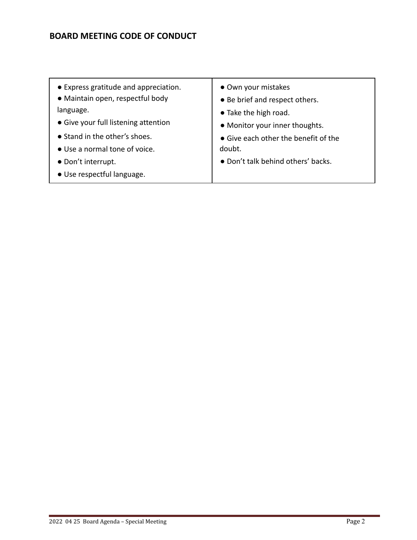# **BOARD MEETING CODE OF CONDUCT**

● Express gratitude and appreciation. ● Maintain open, respectful body language. ● Give your full listening attention ● Stand in the other's shoes. ● Use a normal tone of voice. ● Don't interrupt. ● Use respectful language. ● Own your mistakes ● Be brief and respect others. ● Take the high road. ● Monitor your inner thoughts. ● Give each other the benefit of the doubt. ● Don't talk behind others' backs.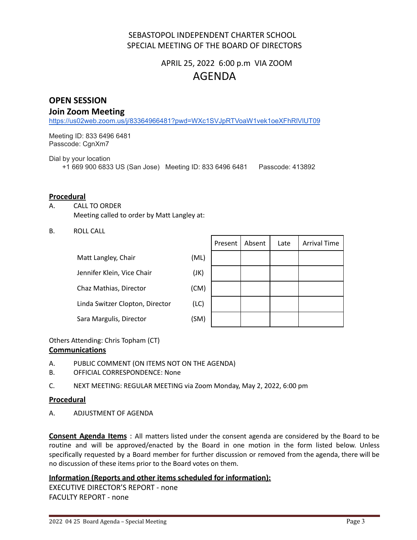# SEBASTOPOL INDEPENDENT CHARTER SCHOOL SPECIAL MEETING OF THE BOARD OF DIRECTORS

# APRIL 25, 2022 6:00 p.m VIA ZOOM AGENDA

# **OPEN SESSION**

## **Join Zoom Meeting**

<https://us02web.zoom.us/j/83364966481?pwd=WXc1SVJpRTVoaW1vek1oeXFhRlVlUT09>

Meeting ID: 833 6496 6481 Passcode: CgnXm7

Dial by your location

+1 669 900 6833 US (San Jose) Meeting ID: 833 6496 6481 Passcode: 413892

#### **Procedural**

- A. CALL TO ORDER Meeting called to order by Matt Langley at:
- B. ROLL CALL

| Matt Langley, Chair             | (ML) |
|---------------------------------|------|
| Jennifer Klein, Vice Chair      | (JK) |
| Chaz Mathias, Director          | (CM) |
| Linda Switzer Clopton, Director | (LC) |
| Sara Margulis, Director         | (SM) |
|                                 |      |

|    | Present   Absent | Late | <b>Arrival Time</b> |
|----|------------------|------|---------------------|
| L) |                  |      |                     |
| )  |                  |      |                     |
| 1) |                  |      |                     |
| :) |                  |      |                     |
| 1) |                  |      |                     |

Others Attending: Chris Topham (CT)

#### **Communications**

- A. PUBLIC COMMENT (ON ITEMS NOT ON THE AGENDA)
- B. OFFICIAL CORRESPONDENCE: None
- C. NEXT MEETING: REGULAR MEETING via Zoom Monday, May 2, 2022, 6:00 pm

## **Procedural**

A. ADJUSTMENT OF AGENDA

**Consent Agenda Items** : All matters listed under the consent agenda are considered by the Board to be routine and will be approved/enacted by the Board in one motion in the form listed below. Unless specifically requested by a Board member for further discussion or removed from the agenda, there will be no discussion of these items prior to the Board votes on them.

## **Information (Reports and other items scheduled for information):**

EXECUTIVE DIRECTOR'S REPORT - none FACULTY REPORT - none